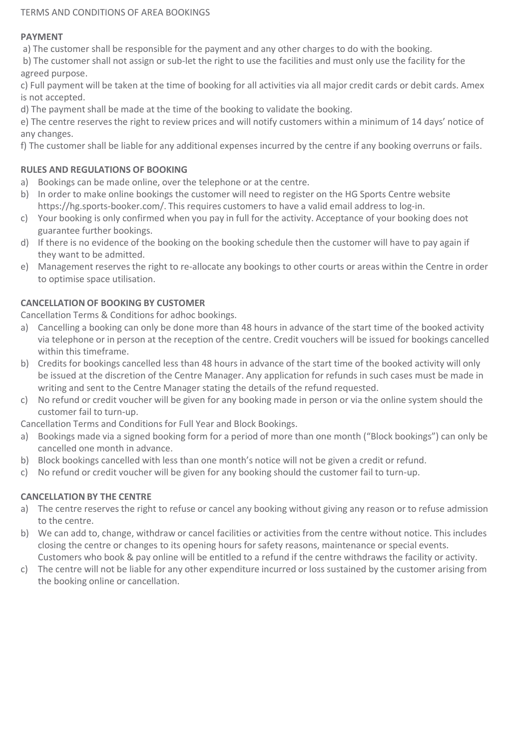#### TERMS AND CONDITIONS OF AREA BOOKINGS

#### **PAYMENT**

a) The customer shall be responsible for the payment and any other charges to do with the booking.

b) The customer shall not assign or sub-let the right to use the facilities and must only use the facility for the agreed purpose.

c) Full payment will be taken at the time of booking for all activities via all major credit cards or debit cards. Amex is not accepted.

d) The payment shall be made at the time of the booking to validate the booking.

e) The centre reserves the right to review prices and will notify customers within a minimum of 14 days' notice of any changes.

f) The customer shall be liable for any additional expenses incurred by the centre if any booking overruns or fails.

### **RULES AND REGULATIONS OF BOOKING**

- a) Bookings can be made online, over the telephone or at the centre.
- b) In order to make online bookings the customer will need to register on the HG Sports Centre website https://hg.sports-booker.com/. This requires customers to have a valid email address to log-in.
- c) Your booking is only confirmed when you pay in full for the activity. Acceptance of your booking does not guarantee further bookings.
- d) If there is no evidence of the booking on the booking schedule then the customer will have to pay again if they want to be admitted.
- e) Management reserves the right to re-allocate any bookings to other courts or areas within the Centre in order to optimise space utilisation.

### **CANCELLATION OF BOOKING BY CUSTOMER**

Cancellation Terms & Conditions for adhoc bookings.

- a) Cancelling a booking can only be done more than 48 hours in advance of the start time of the booked activity via telephone or in person at the reception of the centre. Credit vouchers will be issued for bookings cancelled within this timeframe.
- b) Credits for bookings cancelled less than 48 hours in advance of the start time of the booked activity will only be issued at the discretion of the Centre Manager. Any application for refunds in such cases must be made in writing and sent to the Centre Manager stating the details of the refund requested.
- c) No refund or credit voucher will be given for any booking made in person or via the online system should the customer fail to turn-up.

Cancellation Terms and Conditions for Full Year and Block Bookings.

- a) Bookings made via a signed booking form for a period of more than one month ("Block bookings") can only be cancelled one month in advance.
- b) Block bookings cancelled with less than one month's notice will not be given a credit or refund.
- c) No refund or credit voucher will be given for any booking should the customer fail to turn-up.

# **CANCELLATION BY THE CENTRE**

- a) The centre reserves the right to refuse or cancel any booking without giving any reason or to refuse admission to the centre.
- b) We can add to, change, withdraw or cancel facilities or activities from the centre without notice. This includes closing the centre or changes to its opening hours for safety reasons, maintenance or special events. Customers who book & pay online will be entitled to a refund if the centre withdraws the facility or activity.
- c) The centre will not be liable for any other expenditure incurred or loss sustained by the customer arising from the booking online or cancellation.